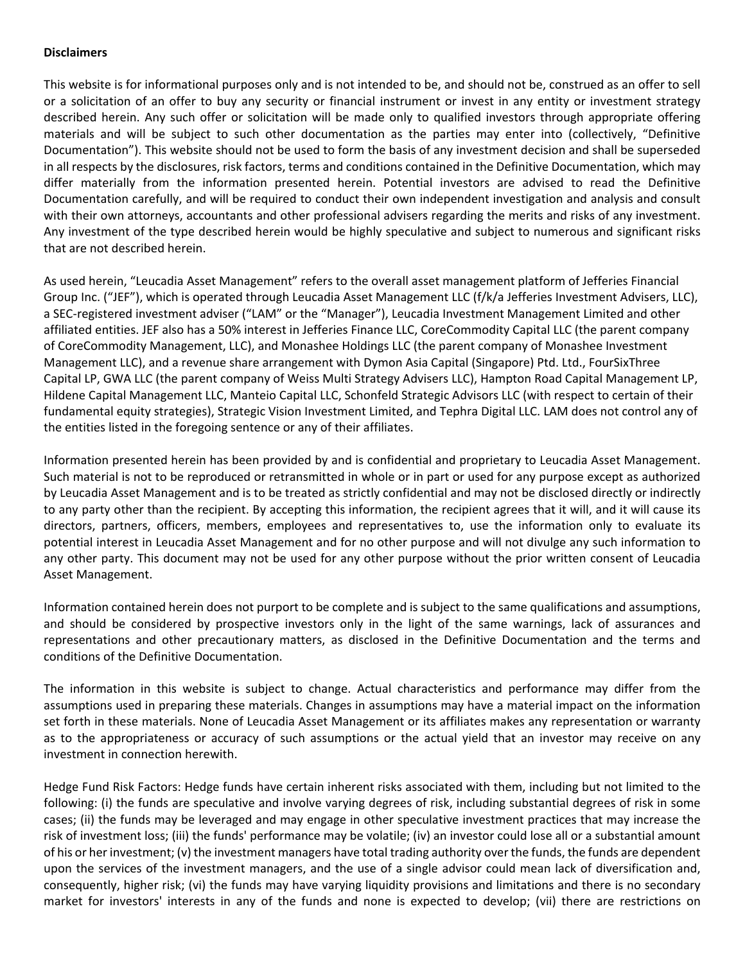## **Disclaimers**

This website is for informational purposes only and is not intended to be, and should not be, construed as an offer to sell or a solicitation of an offer to buy any security or financial instrument or invest in any entity or investment strategy described herein. Any such offer or solicitation will be made only to qualified investors through appropriate offering materials and will be subject to such other documentation as the parties may enter into (collectively, "Definitive Documentation"). This website should not be used to form the basis of any investment decision and shall be superseded in all respects by the disclosures, risk factors, terms and conditions contained in the Definitive Documentation, which may differ materially from the information presented herein. Potential investors are advised to read the Definitive Documentation carefully, and will be required to conduct their own independent investigation and analysis and consult with their own attorneys, accountants and other professional advisers regarding the merits and risks of any investment. Any investment of the type described herein would be highly speculative and subject to numerous and significant risks that are not described herein.

As used herein, "Leucadia Asset Management" refers to the overall asset management platform of Jefferies Financial Group Inc. ("JEF"), which is operated through Leucadia Asset Management LLC (f/k/a Jefferies Investment Advisers, LLC), a SEC-registered investment adviser ("LAM" or the "Manager"), Leucadia Investment Management Limited and other affiliated entities. JEF also has a 50% interest in Jefferies Finance LLC, CoreCommodity Capital LLC (the parent company of CoreCommodity Management, LLC), and Monashee Holdings LLC (the parent company of Monashee Investment Management LLC), and a revenue share arrangement with Dymon Asia Capital (Singapore) Ptd. Ltd., FourSixThree Capital LP, GWA LLC (the parent company of Weiss Multi Strategy Advisers LLC), Hampton Road Capital Management LP, Hildene Capital Management LLC, Manteio Capital LLC, Schonfeld Strategic Advisors LLC (with respect to certain of their fundamental equity strategies), Strategic Vision Investment Limited, and Tephra Digital LLC. LAM does not control any of the entities listed in the foregoing sentence or any of their affiliates.

Information presented herein has been provided by and is confidential and proprietary to Leucadia Asset Management. Such material is not to be reproduced or retransmitted in whole or in part or used for any purpose except as authorized by Leucadia Asset Management and is to be treated as strictly confidential and may not be disclosed directly or indirectly to any party other than the recipient. By accepting this information, the recipient agrees that it will, and it will cause its directors, partners, officers, members, employees and representatives to, use the information only to evaluate its potential interest in Leucadia Asset Management and for no other purpose and will not divulge any such information to any other party. This document may not be used for any other purpose without the prior written consent of Leucadia Asset Management.

Information contained herein does not purport to be complete and is subject to the same qualifications and assumptions, and should be considered by prospective investors only in the light of the same warnings, lack of assurances and representations and other precautionary matters, as disclosed in the Definitive Documentation and the terms and conditions of the Definitive Documentation.

The information in this website is subject to change. Actual characteristics and performance may differ from the assumptions used in preparing these materials. Changes in assumptions may have a material impact on the information set forth in these materials. None of Leucadia Asset Management or its affiliates makes any representation or warranty as to the appropriateness or accuracy of such assumptions or the actual yield that an investor may receive on any investment in connection herewith.

Hedge Fund Risk Factors: Hedge funds have certain inherent risks associated with them, including but not limited to the following: (i) the funds are speculative and involve varying degrees of risk, including substantial degrees of risk in some cases; (ii) the funds may be leveraged and may engage in other speculative investment practices that may increase the risk of investment loss; (iii) the funds' performance may be volatile; (iv) an investor could lose all or a substantial amount of his or her investment; (v) the investment managers have total trading authority over the funds, the funds are dependent upon the services of the investment managers, and the use of a single advisor could mean lack of diversification and, consequently, higher risk; (vi) the funds may have varying liquidity provisions and limitations and there is no secondary market for investors' interests in any of the funds and none is expected to develop; (vii) there are restrictions on